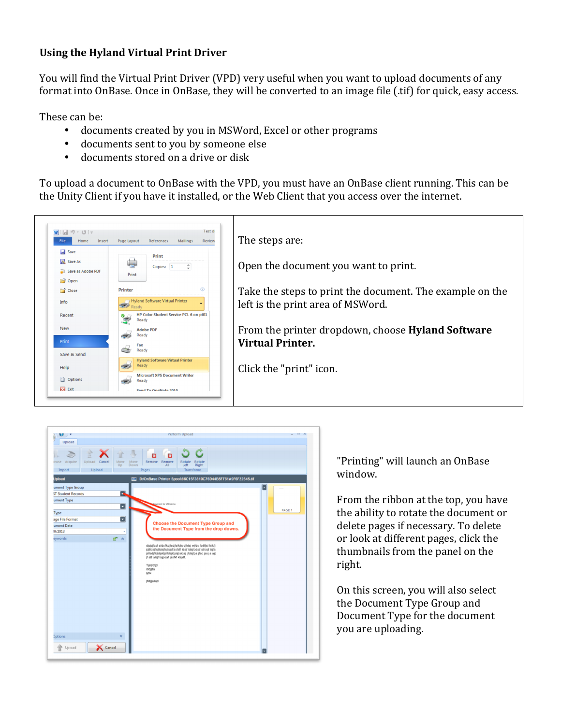## **Using the Hyland Virtual Print Driver**

You will find the Virtual Print Driver (VPD) very useful when you want to upload documents of any format into OnBase. Once in OnBase, they will be converted to an image file (.tif) for quick, easy access.

These can be:

- documents created by you in MSWord, Excel or other programs
- documents sent to you by someone else
- documents stored on a drive or disk

To upload a document to OnBase with the VPD, you must have an OnBase client running. This can be the Unity Client if you have it installed, or the Web Client that you access over the internet.





"Printing" will launch an OnBase window.

From the ribbon at the top, you have the ability to rotate the document or delete pages if necessary. To delete or look at different pages, click the thumbnails from the panel on the right.

On this screen, you will also select the Document Type Group and Document Type for the document you are uploading.